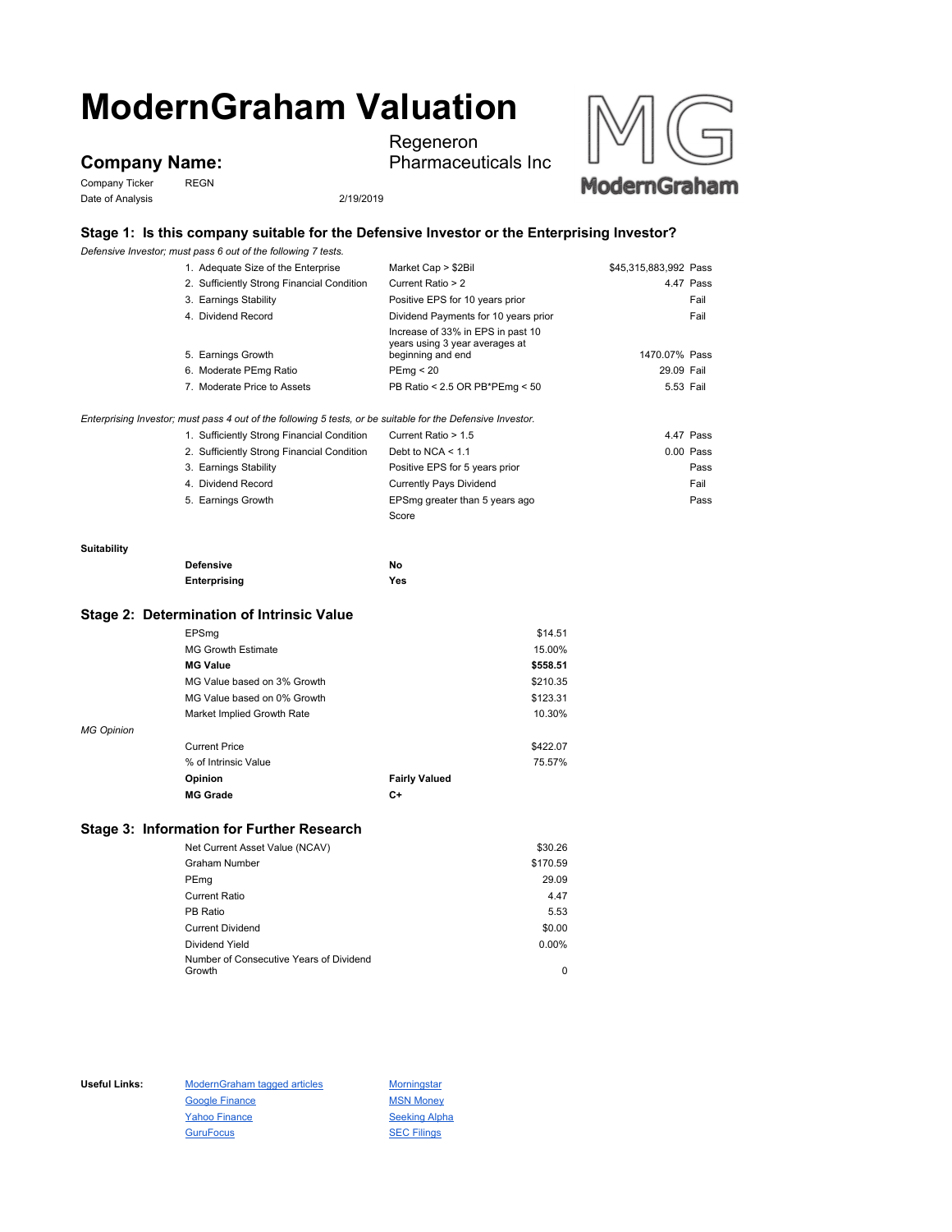# **ModernGraham Valuation**

# **Company Name:**

Company Ticker REGN Date of Analysis 2/19/2019



Regeneron



## **Stage 1: Is this company suitable for the Defensive Investor or the Enterprising Investor?**

*Defensive Investor; must pass 6 out of the following 7 tests.*

|                                           | 1. Adequate Size of the Enterprise                                                                          | Market Cap > \$2Bil                                                                      | \$45,315,883,992 Pass |
|-------------------------------------------|-------------------------------------------------------------------------------------------------------------|------------------------------------------------------------------------------------------|-----------------------|
|                                           | 2. Sufficiently Strong Financial Condition                                                                  | Current Ratio > 2                                                                        | 4.47 Pass             |
|                                           | 3. Earnings Stability                                                                                       | Positive EPS for 10 years prior                                                          | Fail                  |
|                                           | 4. Dividend Record                                                                                          | Dividend Payments for 10 years prior                                                     | Fail                  |
|                                           | 5. Earnings Growth                                                                                          | Increase of 33% in EPS in past 10<br>years using 3 year averages at<br>beginning and end | 1470.07% Pass         |
|                                           | 6. Moderate PEmg Ratio                                                                                      | PEmq < 20                                                                                | 29.09 Fail            |
|                                           | 7. Moderate Price to Assets                                                                                 | PB Ratio < 2.5 OR PB*PEmg < 50                                                           | 5.53 Fail             |
|                                           | Enterprising Investor; must pass 4 out of the following 5 tests, or be suitable for the Defensive Investor. |                                                                                          |                       |
|                                           | 1. Sufficiently Strong Financial Condition                                                                  | Current Ratio > 1.5                                                                      | 4.47 Pass             |
|                                           | 2. Sufficiently Strong Financial Condition                                                                  | Debt to NCA $<$ 1.1                                                                      | $0.00$ Pass           |
|                                           | 3. Earnings Stability                                                                                       | Positive EPS for 5 years prior                                                           | Pass                  |
|                                           | 4. Dividend Record                                                                                          | <b>Currently Pays Dividend</b>                                                           | Fail                  |
|                                           | 5. Earnings Growth                                                                                          | EPSmg greater than 5 years ago                                                           | Pass                  |
|                                           |                                                                                                             | Score                                                                                    |                       |
| Suitability                               |                                                                                                             |                                                                                          |                       |
|                                           | <b>Defensive</b>                                                                                            | No                                                                                       |                       |
|                                           | Enterprising                                                                                                | Yes                                                                                      |                       |
| Stage 2: Determination of Intrinsic Value |                                                                                                             |                                                                                          |                       |
|                                           | EPSmg                                                                                                       |                                                                                          | \$14.51               |

|                   | <b>MG Growth Estimate</b>   |                      | 15.00%   |
|-------------------|-----------------------------|----------------------|----------|
|                   | <b>MG Value</b>             |                      | \$558.51 |
|                   | MG Value based on 3% Growth |                      | \$210.35 |
|                   | MG Value based on 0% Growth |                      | \$123.31 |
|                   | Market Implied Growth Rate  |                      | 10.30%   |
| <b>MG Opinion</b> |                             |                      |          |
|                   | <b>Current Price</b>        |                      | \$422.07 |
|                   | % of Intrinsic Value        |                      | 75.57%   |
|                   | Opinion                     | <b>Fairly Valued</b> |          |
|                   | <b>MG Grade</b>             | C+                   |          |

### **Stage 3: Information for Further Research**

| Net Current Asset Value (NCAV)          | \$30.26  |
|-----------------------------------------|----------|
| Graham Number                           | \$170.59 |
| PEmg                                    | 29.09    |
| <b>Current Ratio</b>                    | 4.47     |
| PB Ratio                                | 5.53     |
| <b>Current Dividend</b>                 | \$0.00   |
| Dividend Yield                          | $0.00\%$ |
| Number of Consecutive Years of Dividend |          |
| Growth                                  | 0        |

Useful Links: ModernGraham tagged articles Morningstar Google Finance MSN Money Yahoo Finance Seeking Alpha GuruFocus **SEC Filings**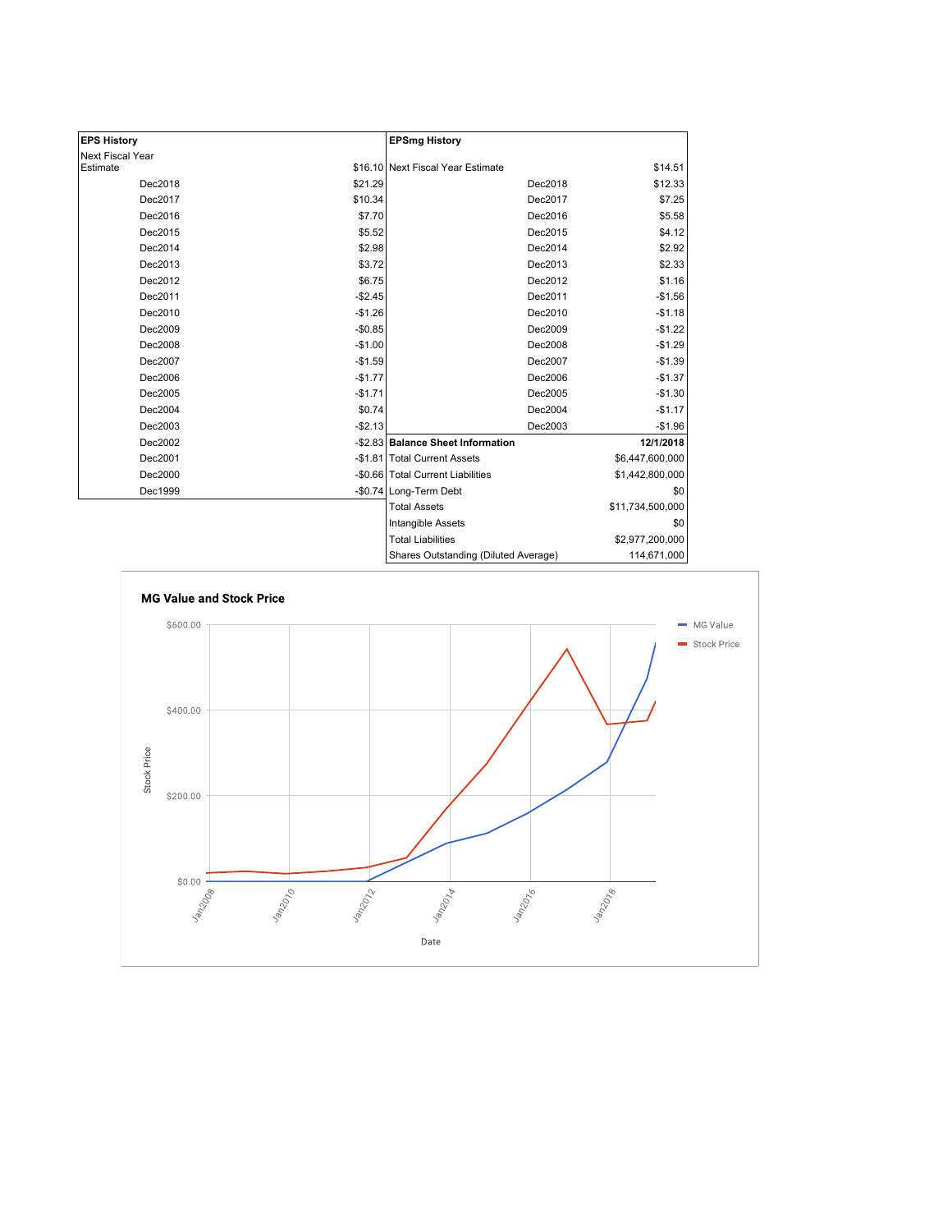| <b>EPS History</b> |          | <b>EPSmg History</b>                 |                  |
|--------------------|----------|--------------------------------------|------------------|
| Next Fiscal Year   |          |                                      |                  |
| Estimate           |          | \$16.10 Next Fiscal Year Estimate    | \$14.51          |
| Dec2018            | \$21.29  | Dec2018                              | \$12.33          |
| Dec2017            | \$10.34  | Dec2017                              | \$7.25           |
| Dec2016            | \$7.70   | Dec2016                              | \$5.58           |
| Dec2015            | \$5.52   | Dec2015                              | \$4.12           |
| Dec2014            | \$2.98   | Dec2014                              | \$2.92           |
| Dec2013            | \$3.72   | Dec2013                              | \$2.33           |
| Dec2012            | \$6.75   | Dec2012                              | \$1.16           |
| Dec2011            | $-$2.45$ | Dec2011                              | $-$1.56$         |
| Dec2010            | $-$1.26$ | Dec2010                              | $-$1.18$         |
| Dec2009            | $-$0.85$ | Dec2009                              | $-$1.22$         |
| Dec2008            | $-$1.00$ | Dec2008                              | $-$1.29$         |
| Dec2007            | $-$1.59$ | Dec2007                              | $-$1.39$         |
| Dec2006            | $-$1.77$ | Dec2006                              | $-$1.37$         |
| Dec2005            | $-$1.71$ | Dec2005                              | $-$1.30$         |
| Dec2004            | \$0.74   | Dec2004                              | $-$1.17$         |
| Dec2003            | $-$2.13$ | Dec2003                              | $-$1.96$         |
| Dec2002            |          | -\$2.83 Balance Sheet Information    | 12/1/2018        |
| Dec2001            |          | -\$1.81 Total Current Assets         | \$6,447,600,000  |
| Dec2000            |          | -\$0.66 Total Current Liabilities    | \$1,442,800,000  |
| Dec1999            |          | -\$0.74 Long-Term Debt               | \$0              |
|                    |          | <b>Total Assets</b>                  | \$11,734,500,000 |
|                    |          | Intangible Assets                    | \$0              |
|                    |          | <b>Total Liabilities</b>             | \$2,977,200,000  |
|                    |          | Shares Outstanding (Diluted Average) | 114,671,000      |